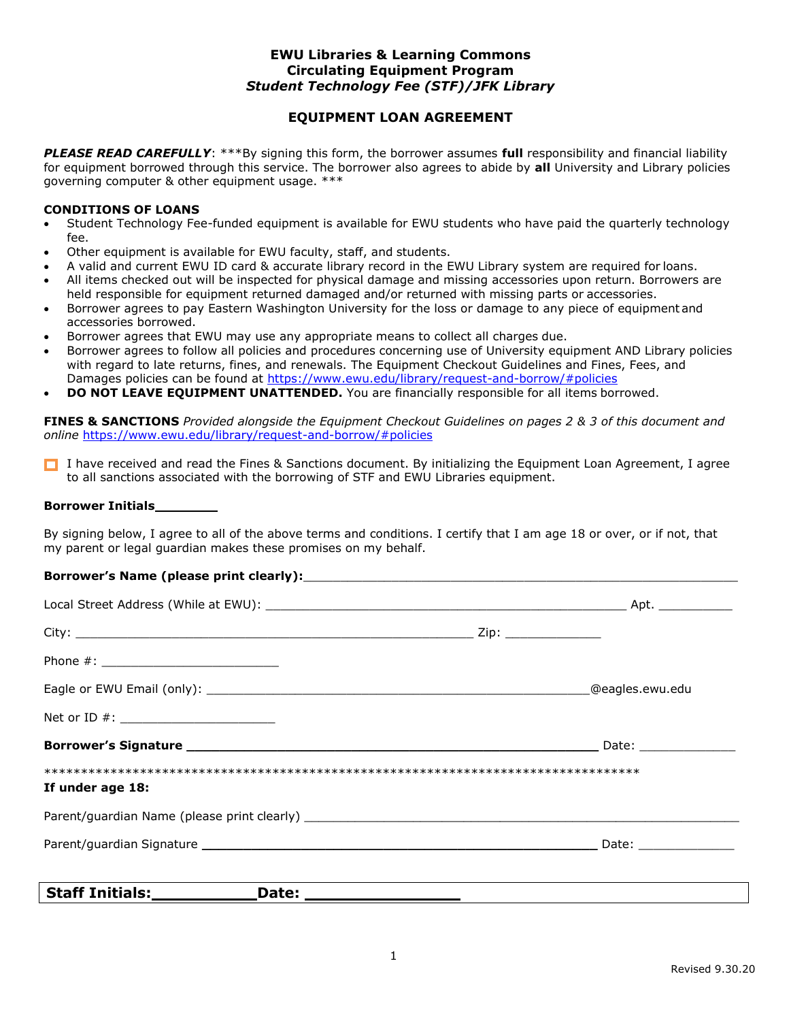### **EWU Libraries & Learning Commons Circulating Equipment Program** *Student Technology Fee (STF)/JFK Library*

# **EQUIPMENT LOAN AGREEMENT**

*PLEASE READ CAREFULLY*: \*\*\*By signing this form, the borrower assumes **full** responsibility and financial liability for equipment borrowed through this service. The borrower also agrees to abide by **all** University and Library policies governing computer & other equipment usage. \*\*\*

### **CONDITIONS OF LOANS**

- Student Technology Fee-funded equipment is available for EWU students who have paid the quarterly technology fee.
- Other equipment is available for EWU faculty, staff, and students.
- A valid and current EWU ID card & accurate library record in the EWU Library system are required for loans.
- All items checked out will be inspected for physical damage and missing accessories upon return. Borrowers are held responsible for equipment returned damaged and/or returned with missing parts or accessories.
- Borrower agrees to pay Eastern Washington University for the loss or damage to any piece of equipmentand accessories borrowed.
- Borrower agrees that EWU may use any appropriate means to collect all charges due.
- Borrower agrees to follow all policies and procedures concerning use of University equipment AND Library policies with regard to late returns, fines, and renewals. The Equipment Checkout Guidelines and Fines, Fees, and Damages policies can be found at <https://www.ewu.edu/library/request-and-borrow/#policies>
- **DO NOT LEAVE EQUIPMENT UNATTENDED.** You are financially responsible for all items borrowed.

**FINES & SANCTIONS** *Provided alongside the Equipment Checkout Guidelines on pages 2 & 3 of this document and online* <https://www.ewu.edu/library/request-and-borrow/#policies>

I have received and read the Fines & Sanctions document. By initializing the Equipment Loan Agreement, I agree to all sanctions associated with the borrowing of STF and EWU Libraries equipment.

#### **Borrower Initials**

By signing below, I agree to all of the above terms and conditions. I certify that I am age 18 or over, or if not, that my parent or legal guardian makes these promises on my behalf.

### Borrower's Name (please print clearly):

| Net or ID #: ___________________________                |                          |
|---------------------------------------------------------|--------------------------|
|                                                         | __ Date: _______________ |
| If under age 18:                                        |                          |
|                                                         |                          |
|                                                         |                          |
|                                                         |                          |
| Staff Initials: <b>with the Staff Initials</b><br>Date: |                          |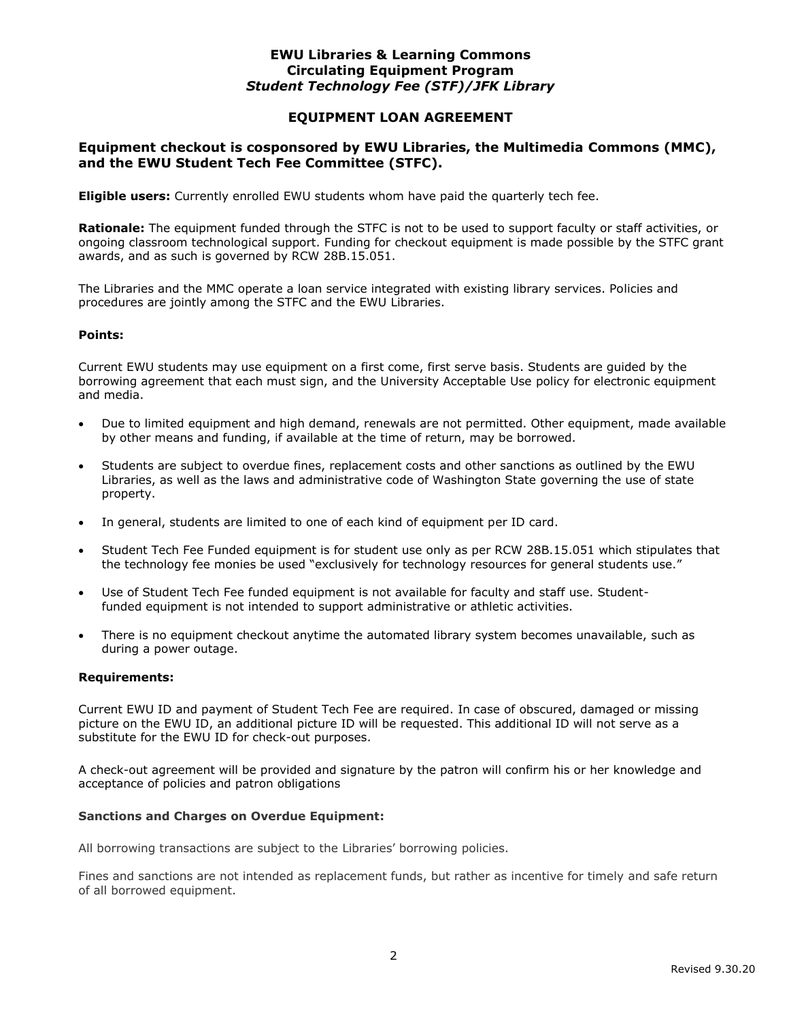## **EWU Libraries & Learning Commons Circulating Equipment Program** *Student Technology Fee (STF)/JFK Library*

## **EQUIPMENT LOAN AGREEMENT**

## **Equipment checkout is cosponsored by EWU Libraries, the Multimedia Commons (MMC), and the EWU Student Tech Fee Committee (STFC).**

**Eligible users:** Currently enrolled EWU students whom have paid the quarterly tech fee.

**Rationale:** The equipment funded through the STFC is not to be used to support faculty or staff activities, or ongoing classroom technological support. Funding for checkout equipment is made possible by the STFC grant awards, and as such is governed by RCW 28B.15.051.

The Libraries and the MMC operate a loan service integrated with existing library services. Policies and procedures are jointly among the STFC and the EWU Libraries.

#### **Points:**

Current EWU students may use equipment on a first come, first serve basis. Students are guided by the borrowing agreement that each must sign, and the University Acceptable Use policy for electronic equipment and media.

- Due to limited equipment and high demand, renewals are not permitted. Other equipment, made available by other means and funding, if available at the time of return, may be borrowed.
- Students are subject to overdue fines, replacement costs and other sanctions as outlined by the EWU Libraries, as well as the laws and administrative code of Washington State governing the use of state property.
- In general, students are limited to one of each kind of equipment per ID card.
- Student Tech Fee Funded equipment is for student use only as per RCW 28B.15.051 which stipulates that the technology fee monies be used "exclusively for technology resources for general students use."
- Use of Student Tech Fee funded equipment is not available for faculty and staff use. Studentfunded equipment is not intended to support administrative or athletic activities.
- There is no equipment checkout anytime the automated library system becomes unavailable, such as during a power outage.

#### **Requirements:**

Current EWU ID and payment of Student Tech Fee are required. In case of obscured, damaged or missing picture on the EWU ID, an additional picture ID will be requested. This additional ID will not serve as a substitute for the EWU ID for check-out purposes.

A check-out agreement will be provided and signature by the patron will confirm his or her knowledge and acceptance of policies and patron obligations

#### **Sanctions and Charges on Overdue Equipment:**

All borrowing transactions are subject to the Libraries' borrowing policies.

Fines and sanctions are not intended as replacement funds, but rather as incentive for timely and safe return of all borrowed equipment.